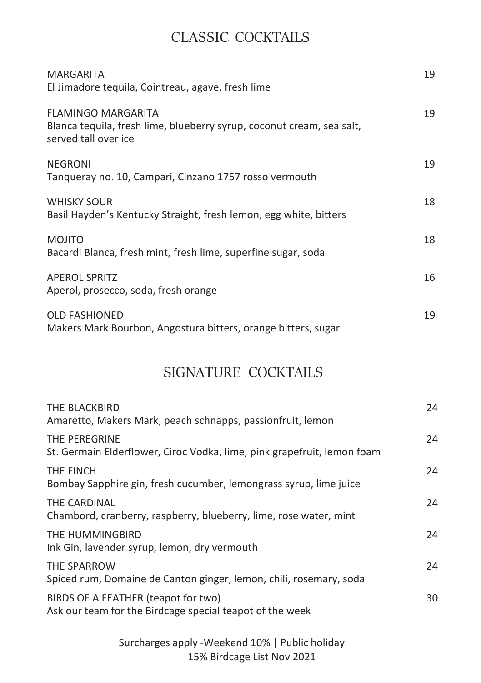## CLASSIC COCKTAILS

| MARGARITA<br>El Jimadore tequila, Cointreau, agave, fresh lime                                                             | 19 |
|----------------------------------------------------------------------------------------------------------------------------|----|
| <b>FLAMINGO MARGARITA</b><br>Blanca tequila, fresh lime, blueberry syrup, coconut cream, sea salt,<br>served tall over ice | 19 |
| <b>NEGRONI</b><br>Tangueray no. 10, Campari, Cinzano 1757 rosso vermouth                                                   | 19 |
| <b>WHISKY SOUR</b><br>Basil Hayden's Kentucky Straight, fresh lemon, egg white, bitters                                    | 18 |
| <b>MOJITO</b><br>Bacardi Blanca, fresh mint, fresh lime, superfine sugar, soda                                             | 18 |
| <b>APEROL SPRITZ</b><br>Aperol, prosecco, soda, fresh orange                                                               | 16 |
| <b>OLD FASHIONED</b><br>Makers Mark Bourbon, Angostura bitters, orange bitters, sugar                                      | 19 |

## SIGNATURE COCKTAILS

| THE BLACKBIRD<br>Amaretto, Makers Mark, peach schnapps, passionfruit, lemon                     | 24 |
|-------------------------------------------------------------------------------------------------|----|
| THE PEREGRINE<br>St. Germain Elderflower, Ciroc Vodka, lime, pink grapefruit, lemon foam        | 24 |
| THE FINCH<br>Bombay Sapphire gin, fresh cucumber, lemongrass syrup, lime juice                  | 24 |
| THE CARDINAL<br>Chambord, cranberry, raspberry, blueberry, lime, rose water, mint               | 24 |
| THE HUMMINGBIRD<br>Ink Gin, lavender syrup, lemon, dry vermouth                                 | 24 |
| THE SPARROW<br>Spiced rum, Domaine de Canton ginger, lemon, chili, rosemary, soda               | 24 |
| BIRDS OF A FEATHER (teapot for two)<br>Ask our team for the Birdcage special teapot of the week | 30 |

Surcharges apply -Weekend 10% | Public holiday 15% Birdcage List Nov 2021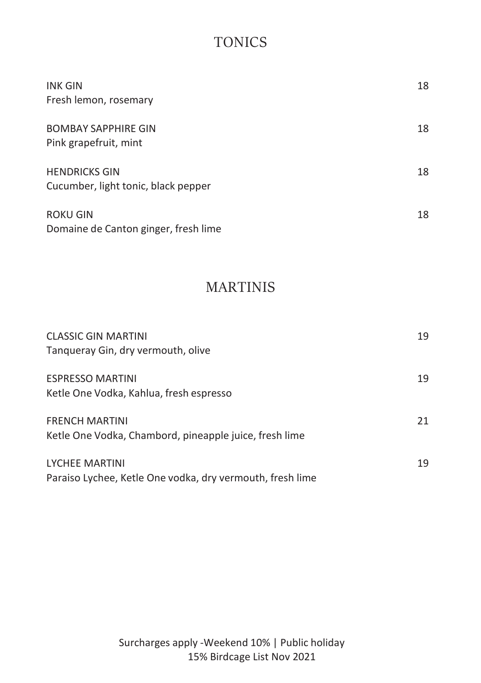# **TONICS**

| <b>INK GIN</b><br>Fresh lemon, rosemary                     | 18 |
|-------------------------------------------------------------|----|
| <b>BOMBAY SAPPHIRE GIN</b><br>Pink grapefruit, mint         | 18 |
| <b>HENDRICKS GIN</b><br>Cucumber, light tonic, black pepper | 18 |
| <b>ROKU GIN</b><br>Domaine de Canton ginger, fresh lime     | 18 |

## MARTINIS

| <b>CLASSIC GIN MARTINI</b><br>Tanqueray Gin, dry vermouth, olive                   | 19 |
|------------------------------------------------------------------------------------|----|
| <b>ESPRESSO MARTINI</b><br>Ketle One Vodka, Kahlua, fresh espresso                 | 19 |
| <b>FRENCH MARTINI</b><br>Ketle One Vodka, Chambord, pineapple juice, fresh lime    | 21 |
| <b>LYCHEE MARTINI</b><br>Paraiso Lychee, Ketle One vodka, dry vermouth, fresh lime | 19 |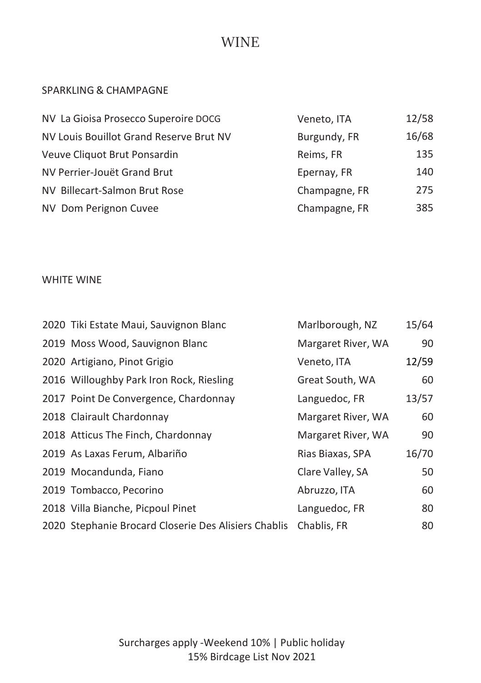## WINE

#### SPARKLING & CHAMPAGNE

| NV La Gioisa Prosecco Superoire DOCG    | Veneto, ITA   | 12/58 |
|-----------------------------------------|---------------|-------|
| NV Louis Bouillot Grand Reserve Brut NV | Burgundy, FR  | 16/68 |
| Veuve Cliquot Brut Ponsardin            | Reims, FR     | 135   |
| NV Perrier-Jouët Grand Brut             | Epernay, FR   | 140   |
| NV Billecart-Salmon Brut Rose           | Champagne, FR | 275   |
| NV Dom Perignon Cuvee                   | Champagne, FR | 385   |

### WHITE WINE

| 2020 Tiki Estate Maui, Sauvignon Blanc               | Marlborough, NZ    | 15/64 |
|------------------------------------------------------|--------------------|-------|
| 2019 Moss Wood, Sauvignon Blanc                      | Margaret River, WA | 90    |
| 2020 Artigiano, Pinot Grigio                         | Veneto, ITA        | 12/59 |
| 2016 Willoughby Park Iron Rock, Riesling             | Great South, WA    | 60    |
| 2017 Point De Convergence, Chardonnay                | Languedoc, FR      | 13/57 |
| 2018 Clairault Chardonnay                            | Margaret River, WA | 60    |
| 2018 Atticus The Finch, Chardonnay                   | Margaret River, WA | 90    |
| 2019 As Laxas Ferum, Albariño                        | Rias Biaxas, SPA   | 16/70 |
| 2019 Mocandunda, Fiano                               | Clare Valley, SA   | 50    |
| 2019 Tombacco, Pecorino                              | Abruzzo, ITA       | 60    |
| 2018 Villa Bianche, Picpoul Pinet                    | Languedoc, FR      | 80    |
| 2020 Stephanie Brocard Closerie Des Alisiers Chablis | Chablis, FR        | 80    |

Surcharges apply -Weekend 10% | Public holiday 15% Birdcage List Nov 2021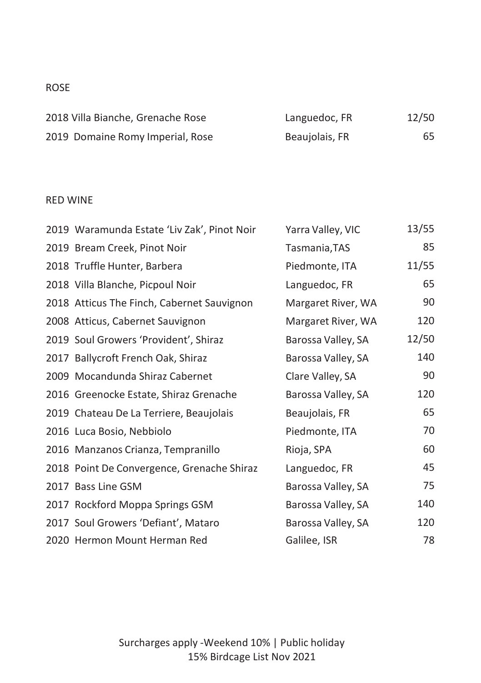### ROSE

| 2018 Villa Bianche, Grenache Rose | Languedoc, FR  | 12/50 |
|-----------------------------------|----------------|-------|
| 2019 Domaine Romy Imperial, Rose  | Beaujolais, FR | 65    |

### RED WINE

| 2019 Waramunda Estate 'Liv Zak', Pinot Noir | Yarra Valley, VIC  | 13/55 |
|---------------------------------------------|--------------------|-------|
| 2019 Bream Creek, Pinot Noir                | Tasmania, TAS      | 85    |
| 2018 Truffle Hunter, Barbera                | Piedmonte, ITA     | 11/55 |
| 2018 Villa Blanche, Picpoul Noir            | Languedoc, FR      | 65    |
| 2018 Atticus The Finch, Cabernet Sauvignon  | Margaret River, WA | 90    |
| 2008 Atticus, Cabernet Sauvignon            | Margaret River, WA | 120   |
| 2019 Soul Growers 'Provident', Shiraz       | Barossa Valley, SA | 12/50 |
| 2017 Ballycroft French Oak, Shiraz          | Barossa Valley, SA | 140   |
| 2009 Mocandunda Shiraz Cabernet             | Clare Valley, SA   | 90    |
| 2016 Greenocke Estate, Shiraz Grenache      | Barossa Valley, SA | 120   |
| 2019 Chateau De La Terriere, Beaujolais     | Beaujolais, FR     | 65    |
| 2016 Luca Bosio, Nebbiolo                   | Piedmonte, ITA     | 70    |
| 2016 Manzanos Crianza, Tempranillo          | Rioja, SPA         | 60    |
| 2018 Point De Convergence, Grenache Shiraz  | Languedoc, FR      | 45    |
| 2017 Bass Line GSM                          | Barossa Valley, SA | 75    |
| 2017 Rockford Moppa Springs GSM             | Barossa Valley, SA | 140   |
| 2017 Soul Growers 'Defiant', Mataro         | Barossa Valley, SA | 120   |
| 2020 Hermon Mount Herman Red                | Galilee, ISR       | 78    |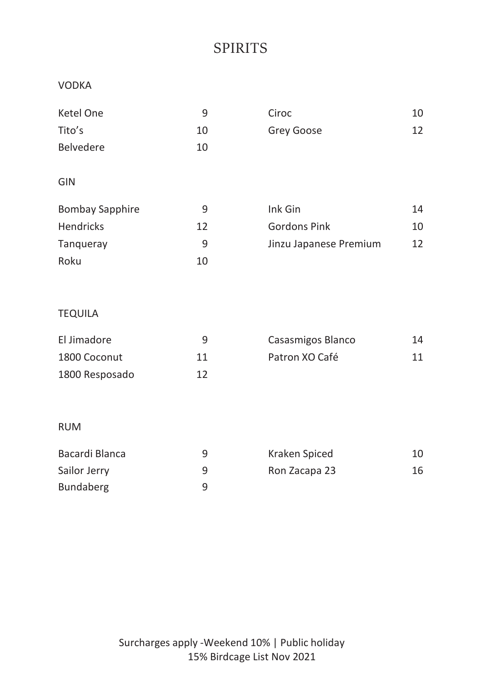# SPIRITS

#### VODKA

| Ketel One              | 9  | Ciroc                  | 10 |
|------------------------|----|------------------------|----|
| Tito's                 | 10 | Grey Goose             | 12 |
| Belvedere              | 10 |                        |    |
|                        |    |                        |    |
| <b>GIN</b>             |    |                        |    |
| <b>Bombay Sapphire</b> | 9  | Ink Gin                | 14 |
| Hendricks              | 12 | <b>Gordons Pink</b>    | 10 |
| Tangueray              | 9  | Jinzu Japanese Premium | 12 |
| Roku                   | 10 |                        |    |
|                        |    |                        |    |

### TEQUILA

| El Jimadore    | q  | Casasmigos Blanco | 14 |
|----------------|----|-------------------|----|
| 1800 Coconut   | 11 | Patron XO Café    | 11 |
| 1800 Resposado | 12 |                   |    |

### RUM

| Bacardi Blanca | q | Kraken Spiced | 10 |
|----------------|---|---------------|----|
| Sailor Jerry   | ч | Ron Zacapa 23 | 16 |
| Bundaberg      | q |               |    |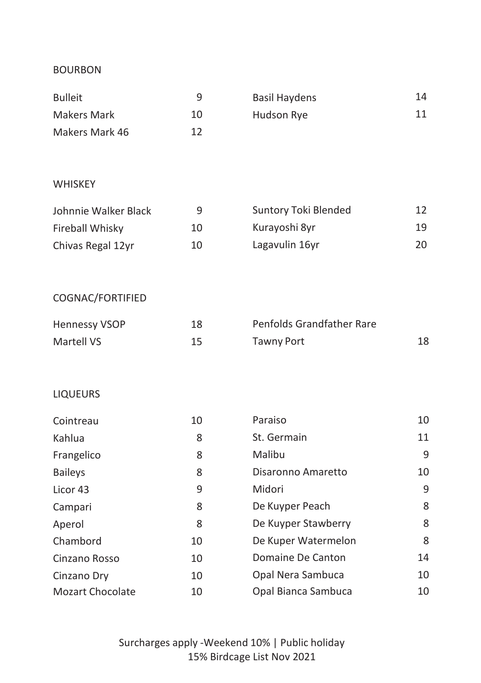#### BOURBON

| <b>Bulleit</b> |    | Basil Haydens | 14 |
|----------------|----|---------------|----|
| Makers Mark    | 10 | Hudson Rye    | 11 |
| Makers Mark 46 | 12 |               |    |

#### WHISKEY

| Johnnie Walker Black | q  | Suntory Toki Blended | 12 |
|----------------------|----|----------------------|----|
| Fireball Whisky      | 10 | Kurayoshi 8yr        | 19 |
| Chivas Regal 12yr    | 10 | Lagavulin 16yr       | 20 |

### COGNAC/FORTIFIED

| <b>Hennessy VSOP</b> | 18 | Penfolds Grandfather Rare |  |
|----------------------|----|---------------------------|--|
| Martell VS           | 15 | Tawny Port                |  |

### LIQUEURS

| Cointreau               | 10 | Paraiso             | 10 |
|-------------------------|----|---------------------|----|
| Kahlua                  | 8  | St. Germain         | 11 |
| Frangelico              | 8  | Malibu              | 9  |
| <b>Baileys</b>          | 8  | Disaronno Amaretto  | 10 |
| Licor 43                | 9  | Midori              | 9  |
| Campari                 | 8  | De Kuyper Peach     | 8  |
| Aperol                  | 8  | De Kuyper Stawberry | 8  |
| Chambord                | 10 | De Kuper Watermelon | 8  |
| Cinzano Rosso           | 10 | Domaine De Canton   | 14 |
| Cinzano Dry             | 10 | Opal Nera Sambuca   | 10 |
| <b>Mozart Chocolate</b> | 10 | Opal Bianca Sambuca | 10 |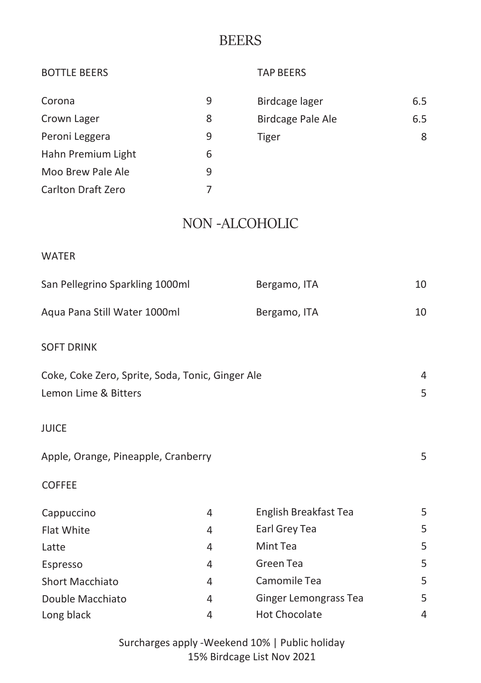### **BEERS**

| <b>BOTTLE BEERS</b>                              |           | <b>TAP BEERS</b>         |     |
|--------------------------------------------------|-----------|--------------------------|-----|
| Corona                                           | 9         | Birdcage lager           | 6.5 |
| Crown Lager                                      | 8         | <b>Birdcage Pale Ale</b> | 6.5 |
| Peroni Leggera                                   | 9         | Tiger                    | 8   |
| Hahn Premium Light                               | 6         |                          |     |
| Moo Brew Pale Ale                                | 9         |                          |     |
| Carlton Draft Zero                               | 7         |                          |     |
|                                                  |           | <b>NON-ALCOHOLIC</b>     |     |
| <b>WATER</b>                                     |           |                          |     |
| San Pellegrino Sparkling 1000ml                  |           | Bergamo, ITA             | 10  |
| Aqua Pana Still Water 1000ml                     |           | Bergamo, ITA             | 10  |
| <b>SOFT DRINK</b>                                |           |                          |     |
| Coke, Coke Zero, Sprite, Soda, Tonic, Ginger Ale |           |                          | 4   |
| Lemon Lime & Bitters                             |           |                          | 5   |
| <b>JUICE</b>                                     |           |                          |     |
| Apple, Orange, Pineapple, Cranberry              |           |                          | 5   |
| <b>COFFEE</b>                                    |           |                          |     |
| Cappuccino                                       | 4         | English Breakfast Tea    | 5   |
| Flat White                                       | 4         | Earl Grey Tea            | 5   |
| Latte                                            | 4         | Mint Tea                 | 5   |
| Fenracco                                         | $\Lambda$ | Green Tea                | 5   |

Espresso 4 Green Tea 5 Short Macchiato **4** Camomile Tea 5 Double Macchiato 4 Ginger Lemongrass Tea 5 Long black and the contract of the Hot Chocolate and the 4 Hot Chocolate

> Surcharges apply -Weekend 10% | Public holiday 15% Birdcage List Nov 2021